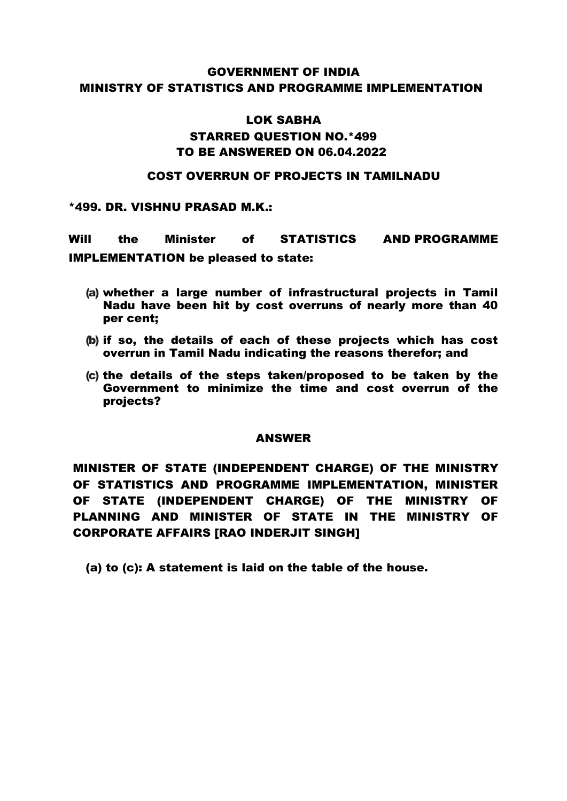### GOVERNMENT OF INDIA MINISTRY OF STATISTICS AND PROGRAMME IMPLEMENTATION

## LOK SABHA STARRED QUESTION NO.\*499 TO BE ANSWERED ON 06.04.2022

#### COST OVERRUN OF PROJECTS IN TAMILNADU

\*499. DR. VISHNU PRASAD M.K.:

Will the Minister of STATISTICS AND PROGRAMME IMPLEMENTATION be pleased to state:

- (a) whether a large number of infrastructural projects in Tamil Nadu have been hit by cost overruns of nearly more than 40 per cent;
- (b) if so, the details of each of these projects which has cost overrun in Tamil Nadu indicating the reasons therefor; and
- (c) the details of the steps taken/proposed to be taken by the Government to minimize the time and cost overrun of the projects?

#### ANSWER

MINISTER OF STATE (INDEPENDENT CHARGE) OF THE MINISTRY OF STATISTICS AND PROGRAMME IMPLEMENTATION, MINISTER OF STATE (INDEPENDENT CHARGE) OF THE MINISTRY OF PLANNING AND MINISTER OF STATE IN THE MINISTRY OF CORPORATE AFFAIRS [RAO INDERJIT SINGH]

(a) to (c): A statement is laid on the table of the house.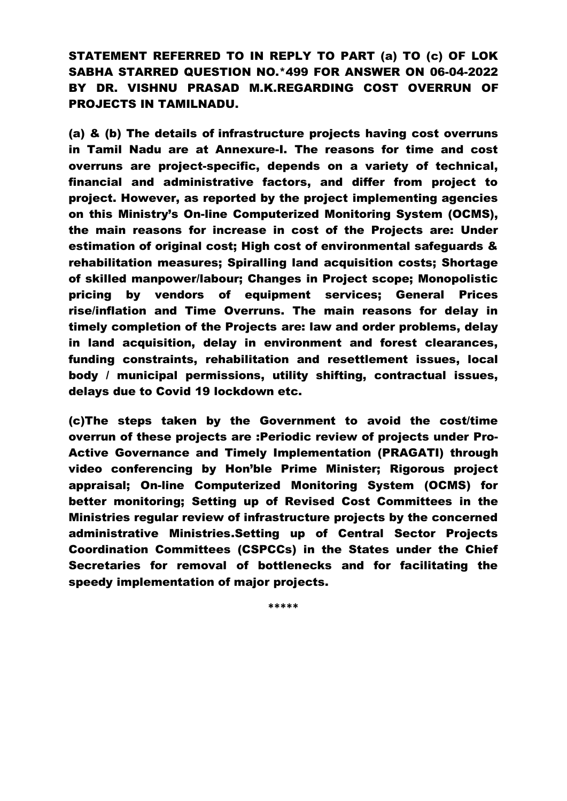STATEMENT REFERRED TO IN REPLY TO PART (a) TO (c) OF LOK SABHA STARRED QUESTION NO.\*499 FOR ANSWER ON 06-04-2022 BY DR. VISHNU PRASAD M.K.REGARDING COST OVERRUN OF PROJECTS IN TAMILNADU.

(a) & (b) The details of infrastructure projects having cost overruns in Tamil Nadu are at Annexure-I. The reasons for time and cost overruns are project-specific, depends on a variety of technical, financial and administrative factors, and differ from project to project. However, as reported by the project implementing agencies on this Ministry's On-line Computerized Monitoring System (OCMS), the main reasons for increase in cost of the Projects are: Under estimation of original cost; High cost of environmental safeguards & rehabilitation measures; Spiralling land acquisition costs; Shortage of skilled manpower/labour; Changes in Project scope; Monopolistic pricing by vendors of equipment services; General Prices rise/inflation and Time Overruns. The main reasons for delay in timely completion of the Projects are: law and order problems, delay in land acquisition, delay in environment and forest clearances, funding constraints, rehabilitation and resettlement issues, local body / municipal permissions, utility shifting, contractual issues, delays due to Covid 19 lockdown etc.

(c)The steps taken by the Government to avoid the cost/time overrun of these projects are :Periodic review of projects under Pro-Active Governance and Timely Implementation (PRAGATI) through video conferencing by Hon'ble Prime Minister; Rigorous project appraisal; On-line Computerized Monitoring System (OCMS) for better monitoring; Setting up of Revised Cost Committees in the Ministries regular review of infrastructure projects by the concerned administrative Ministries.Setting up of Central Sector Projects Coordination Committees (CSPCCs) in the States under the Chief Secretaries for removal of bottlenecks and for facilitating the speedy implementation of major projects.

**\*\*\*\*\***